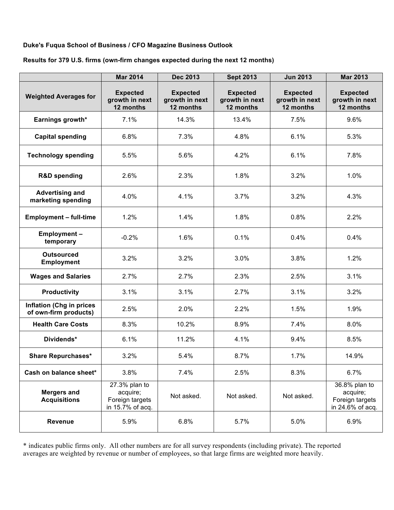## **Duke's Fuqua School of Business / CFO Magazine Business Outlook**

### **Results for 379 U.S. firms (own-firm changes expected during the next 12 months)**

|                                                          | <b>Mar 2014</b>                                                  | <b>Dec 2013</b>                                | <b>Sept 2013</b>                               | <b>Jun 2013</b>                                | <b>Mar 2013</b>                                                  |
|----------------------------------------------------------|------------------------------------------------------------------|------------------------------------------------|------------------------------------------------|------------------------------------------------|------------------------------------------------------------------|
| <b>Weighted Averages for</b>                             | <b>Expected</b><br>growth in next<br>12 months                   | <b>Expected</b><br>growth in next<br>12 months | <b>Expected</b><br>growth in next<br>12 months | <b>Expected</b><br>growth in next<br>12 months | <b>Expected</b><br>growth in next<br>12 months                   |
| Earnings growth*                                         | 7.1%                                                             | 14.3%                                          | 13.4%                                          | 7.5%                                           | 9.6%                                                             |
| <b>Capital spending</b>                                  | 6.8%                                                             | 7.3%                                           | 4.8%                                           | 6.1%                                           | 5.3%                                                             |
| <b>Technology spending</b>                               | 5.5%                                                             | 5.6%                                           | 4.2%                                           | 6.1%                                           | 7.8%                                                             |
| <b>R&amp;D spending</b>                                  | 2.6%                                                             | 2.3%                                           | 1.8%                                           | 3.2%                                           | 1.0%                                                             |
| <b>Advertising and</b><br>marketing spending             | 4.0%                                                             | 4.1%                                           | 3.7%                                           | 3.2%                                           | 4.3%                                                             |
| <b>Employment - full-time</b>                            | 1.2%                                                             | 1.4%                                           | 1.8%                                           | 0.8%                                           | 2.2%                                                             |
| Employment-<br>temporary                                 | $-0.2%$                                                          | 1.6%                                           | 0.1%                                           | 0.4%                                           | 0.4%                                                             |
| <b>Outsourced</b><br><b>Employment</b>                   | 3.2%                                                             | 3.2%                                           | 3.0%                                           | 3.8%                                           | 1.2%                                                             |
| <b>Wages and Salaries</b>                                | 2.7%                                                             | 2.7%                                           | 2.3%                                           | 2.5%                                           | 3.1%                                                             |
| <b>Productivity</b>                                      | 3.1%                                                             | 3.1%                                           | 2.7%                                           | 3.1%                                           | 3.2%                                                             |
| <b>Inflation (Chg in prices</b><br>of own-firm products) | 2.5%                                                             | 2.0%                                           | 2.2%                                           | 1.5%                                           | 1.9%                                                             |
| <b>Health Care Costs</b>                                 | 8.3%                                                             | 10.2%                                          | 8.9%                                           | 7.4%                                           | 8.0%                                                             |
| Dividends*                                               | 6.1%                                                             | 11.2%                                          | 4.1%                                           | 9.4%                                           | 8.5%                                                             |
| <b>Share Repurchases*</b>                                | 3.2%                                                             | 5.4%                                           | 8.7%                                           | 1.7%                                           | 14.9%                                                            |
| Cash on balance sheet*                                   | 3.8%                                                             | 7.4%                                           | 2.5%                                           | 8.3%                                           | 6.7%                                                             |
| <b>Mergers and</b><br><b>Acquisitions</b>                | 27.3% plan to<br>acquire;<br>Foreign targets<br>in 15.7% of acq. | Not asked.                                     | Not asked.                                     | Not asked.                                     | 36.8% plan to<br>acquire;<br>Foreign targets<br>in 24.6% of acq. |
| <b>Revenue</b>                                           | 5.9%                                                             | 6.8%                                           | 5.7%                                           | 5.0%                                           | 6.9%                                                             |

\* indicates public firms only. All other numbers are for all survey respondents (including private). The reported averages are weighted by revenue or number of employees, so that large firms are weighted more heavily.